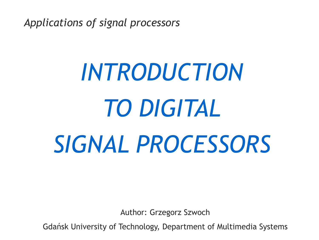*Applications of signal processors*

# *INTRODUCTION TO DIGITAL SIGNAL PROCESSORS*

Author: Grzegorz Szwoch

Gdańsk University of Technology, Department of Multimedia Systems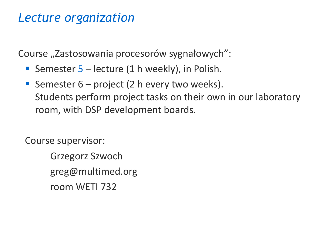#### *Lecture organization*

Course "Zastosowania procesorów sygnałowych":

- **E** Semester  $5$  lecture (1 h weekly), in Polish.
- **E** Semester  $6$  project (2 h every two weeks). Students perform project tasks on their own in our laboratory room, with DSP development boards.

Course supervisor:

Grzegorz Szwoch greg@multimed.org room WETI 732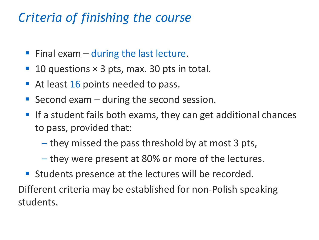## *Criteria of finishing the course*

- **Final exam during the last lecture.**
- $\blacksquare$  10 questions  $\times$  3 pts, max. 30 pts in total.
- At least 16 points needed to pass.
- **E** Second exam  $-$  during the second session.
- If a student fails both exams, they can get additional chances to pass, provided that:
	- they missed the pass threshold by at most 3 pts,
	- they were present at 80% or more of the lectures.
- **EXTERGHEE IS Students presence at the lectures will be recorded.**

Different criteria may be established for non-Polish speaking students.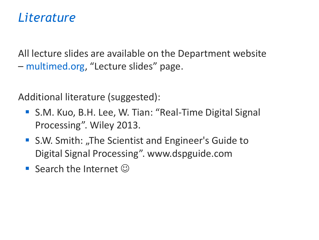#### *Literature*

All lecture slides are available on the Department website – multimed.org, "Lecture slides" page.

Additional literature (suggested):

- S.M. Kuo, B.H. Lee, W. Tian: "Real-Time Digital Signal Processing". Wiley 2013.
- S.W. Smith: "The Scientist and Engineer's Guide to Digital Signal Processing". www.dspguide.com
- **Search the Internet**  $\odot$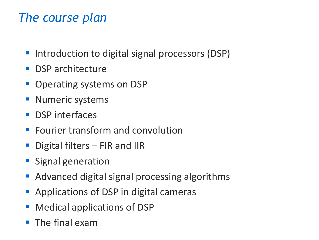## *The course plan*

- Introduction to digital signal processors (DSP)
- **DSP architecture**
- **Operating systems on DSP**
- **Numeric systems**
- **DSP** interfaces
- **Fourier transform and convolution**
- **•** Digital filters  $-$  FIR and IIR
- **E** Signal generation
- Advanced digital signal processing algorithms
- Applications of DSP in digital cameras
- Medical applications of DSP
- **The final exam**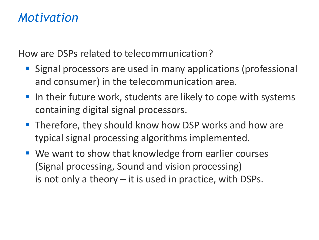#### *Motivation*

How are DSPs related to telecommunication?

- **EXT** Signal processors are used in many applications (professional and consumer) in the telecommunication area.
- **If the 11 St 20 Tells 10 Tells 10 Tells 10 Tells 10 Tells 10 Tells 10 Tells 10 Tells 10 Tells 10 Tells 10 Tell** containing digital signal processors.
- Therefore, they should know how DSP works and how are typical signal processing algorithms implemented.
- We want to show that knowledge from earlier courses (Signal processing, Sound and vision processing) is not only a theory – it is used in practice, with DSPs.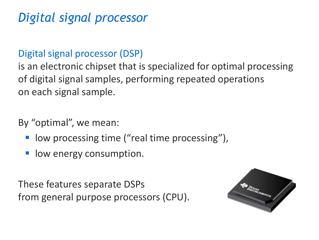# *Digital signal processor*

#### Digital signal processor (DSP)

is an electronic chipset that is specialized for optimal processing of digital signal samples, performing repeated operations on each signal sample.

By "optimal", we mean:

- low processing time ("real time processing"),
- low energy consumption.

These features separate DSPs from general purpose processors (CPU).

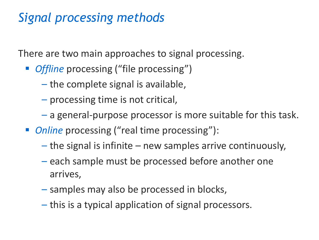# *Signal processing methods*

There are two main approaches to signal processing.

- *Offline* processing ("file processing")
	- the complete signal is available,
	- processing time is not critical,
	- a general-purpose processor is more suitable for this task.
- *Online* processing ("real time processing"):
	- the signal is infinite new samples arrive continuously,
	- each sample must be processed before another one arrives,
	- samples may also be processed in blocks,
	- this is a typical application of signal processors.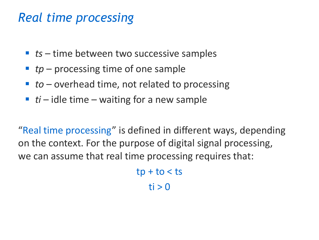#### *Real time processing*

- *ts* time between two successive samples
- *tp* processing time of one sample
- *to* overhead time, not related to processing
- $\blacksquare$  *ti* idle time waiting for a new sample

"Real time processing" is defined in different ways, depending on the context. For the purpose of digital signal processing, we can assume that real time processing requires that:

> $tp + to < ts$  $ti > 0$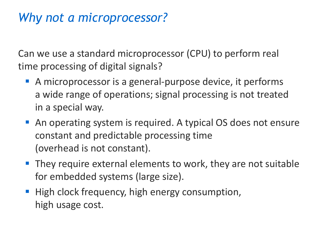## *Why not a microprocessor?*

Can we use a standard microprocessor (CPU) to perform real time processing of digital signals?

- A microprocessor is a general-purpose device, it performs a wide range of operations; signal processing is not treated in a special way.
- An operating system is required. A typical OS does not ensure constant and predictable processing time (overhead is not constant).
- **They require external elements to work, they are not suitable** for embedded systems (large size).
- High clock frequency, high energy consumption, high usage cost.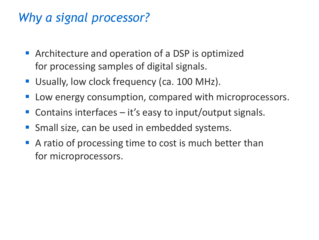# *Why a signal processor?*

- **E** Architecture and operation of a DSP is optimized for processing samples of digital signals.
- Usually, low clock frequency (ca. 100 MHz).
- Low energy consumption, compared with microprocessors.
- **Contains interfaces it's easy to input/output signals.**
- Small size, can be used in embedded systems.
- A ratio of processing time to cost is much better than for microprocessors.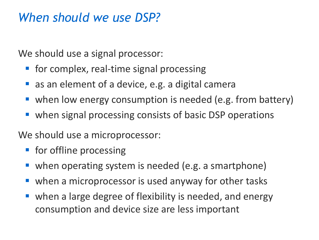#### *When should we use DSP?*

We should use a signal processor:

- for complex, real-time signal processing
- as an element of a device, e.g. a digital camera
- when low energy consumption is needed (e.g. from battery)
- when signal processing consists of basic DSP operations

We should use a microprocessor:

- **•** for offline processing
- when operating system is needed (e.g. a smartphone)
- when a microprocessor is used anyway for other tasks
- when a large degree of flexibility is needed, and energy consumption and device size are less important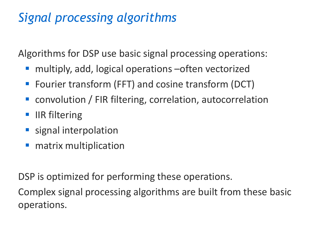# *Signal processing algorithms*

Algorithms for DSP use basic signal processing operations:

- multiply, add, logical operations often vectorized
- Fourier transform (FFT) and cosine transform (DCT)
- convolution / FIR filtering, correlation, autocorrelation
- **IIR filtering**
- **E** signal interpolation
- matrix multiplication

DSP is optimized for performing these operations.

Complex signal processing algorithms are built from these basic operations.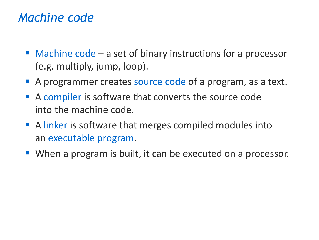#### *Machine code*

- Machine code a set of binary instructions for a processor (e.g. multiply, jump, loop).
- A programmer creates source code of a program, as a text.
- A compiler is software that converts the source code into the machine code.
- A linker is software that merges compiled modules into an executable program.
- When a program is built, it can be executed on a processor.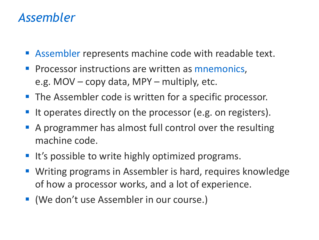#### *Assembler*

- Assembler represents machine code with readable text.
- Processor instructions are written as mnemonics, e.g. MOV – copy data, MPY – multiply, etc.
- **The Assembler code is written for a specific processor.**
- It operates directly on the processor (e.g. on registers).
- A programmer has almost full control over the resulting machine code.
- It's possible to write highly optimized programs.
- Writing programs in Assembler is hard, requires knowledge of how a processor works, and a lot of experience.
- (We don't use Assembler in our course.)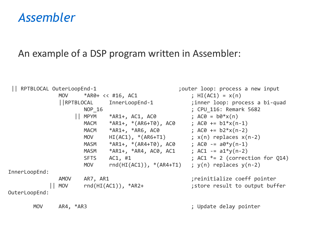#### *Assembler*

#### An example of a DSP program written in Assembler:

| RPTBLOCAL OuterLoopEnd-1 |                         |             |                              | ;outer loop: process a new input  |
|--------------------------|-------------------------|-------------|------------------------------|-----------------------------------|
|                          | <b>MOV</b>              |             | $*AR0+ << #16, AC1$          | ; $HI(AC1) = x(n)$                |
|                          |                         |             |                              | ; inner loop: process a bi-quad   |
|                          |                         | NOP 16      |                              | ; CPU 116: Remark 5682            |
|                          |                         | <b>MPYM</b> | $*AR1+, AC1, AC0$            | ; $AC\theta = b\theta * x(n)$     |
|                          |                         | <b>MACM</b> | *AR1+, *(AR6+T0), AC0        | ; $AC\theta$ += $b1*x(n-1)$       |
|                          |                         | <b>MACM</b> | $*AR1+, *AR6, AC0$           | ; $AC\theta$ += $b2*x(n-2)$       |
|                          |                         | <b>MOV</b>  | $HI(AC1)$ , $*(AR6+T1)$      | ; $x(n)$ replaces $x(n-2)$        |
|                          |                         | <b>MASM</b> | *AR1+, *(AR4+T0), AC0        | ; $AC\theta = a\theta * y(n-1)$   |
|                          |                         | <b>MASM</b> | *AR1+, *AR4, AC0, AC1        | ; $AC1 = a1*y(n-2)$               |
|                          |                         | <b>SFTS</b> | AC1, #1                      | ; AC1 $*= 2$ (correction for Q14) |
|                          |                         | <b>MOV</b>  | $rnd(HI(AC1))$ , $*(AR4+T1)$ | ; $y(n)$ replaces $y(n-2)$        |
| InnerLoopEnd:            |                         |             |                              |                                   |
|                          | <b>AMOV</b><br>AR7, AR1 |             | ; reinitialize coeff pointer |                                   |
|                          | <b>MOV</b>              |             | $rnd(HI(AC1))$ , * $AR2+$    | ; store result to output buffer   |
| OuterLoopEnd:            |                         |             |                              |                                   |
| <b>MOV</b>               | $AR4, *AR3$             |             |                              | ; Update delay pointer            |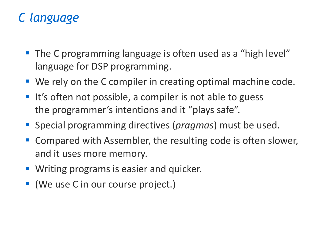# *C language*

- The C programming language is often used as a "high level" language for DSP programming.
- We rely on the C compiler in creating optimal machine code.
- It's often not possible, a compiler is not able to guess the programmer's intentions and it "plays safe".
- Special programming directives (*pragmas*) must be used.
- Compared with Assembler, the resulting code is often slower, and it uses more memory.
- Writing programs is easier and quicker.
- (We use C in our course project.)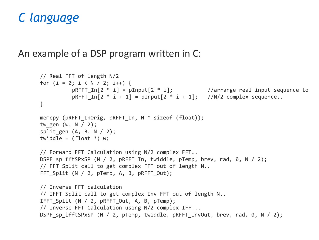#### *C language*

#### An example of a DSP program written in C:

```
// Real FFT of length N/2
for (i = 0; i < N / 2; i++) {
          pRFFT_In[2 * i] = pInput[2 * i]; //arrange real input sequence to
          pRFFT In[2 * i + 1] = pInput[2 * i + 1]; //N/2 complex sequence..
}
memcpy (pRFFT InOrig, pRFFT In, N * sizeof (float));
tw gen (w, N / 2);
split gen (A, B, N / 2);twiddle = (float *) w;
// Forward FFT Calculation using N/2 complex FFT..
DSPF sp fftSPxSP (N / 2, pRFFT In, twiddle, pTemp, brev, rad, 0, N / 2);
// FFT Split call to get complex FFT out of length N..
FFT Split (N / 2, pTemp, A, B, pRFFT Out);
// Inverse FFT calculation
// IFFT Split call to get complex Inv FFT out of length N..
IFFT Split (N / 2, pRFFT Out, A, B, pTemp);
// Inverse FFT Calculation using N/2 complex IFFT..
DSPF sp ifftSPxSP (N / 2, pTemp, twiddle, pRFFT InvOut, brev, rad, 0, N / 2);
```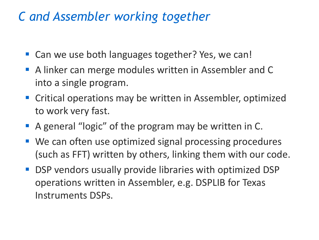## *C and Assembler working together*

- Can we use both languages together? Yes, we can!
- A linker can merge modules written in Assembler and C into a single program.
- Critical operations may be written in Assembler, optimized to work very fast.
- A general "logic" of the program may be written in C.
- We can often use optimized signal processing procedures (such as FFT) written by others, linking them with our code.
- DSP vendors usually provide libraries with optimized DSP operations written in Assembler, e.g. DSPLIB for Texas Instruments DSPs.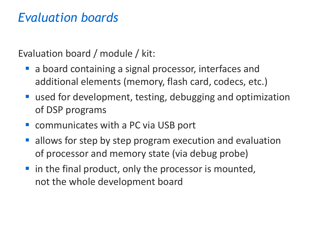#### *Evaluation boards*

Evaluation board / module / kit:

- a board containing a signal processor, interfaces and additional elements (memory, flash card, codecs, etc.)
- used for development, testing, debugging and optimization of DSP programs
- communicates with a PC via USB port
- allows for step by step program execution and evaluation of processor and memory state (via debug probe)
- in the final product, only the processor is mounted, not the whole development board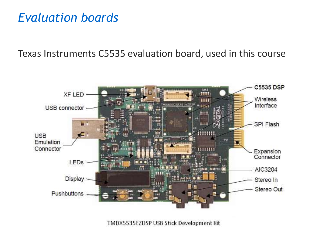#### *Evaluation boards*

Texas Instruments C5535 evaluation board, used in this course



TMDX5535EZDSP USB Stick Development Kit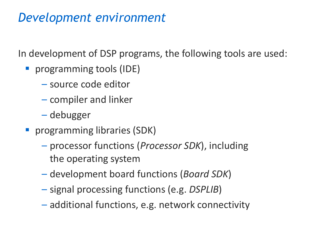# *Development environment*

In development of DSP programs, the following tools are used:

- **•** programming tools (IDE)
	- source code editor
	- compiler and linker
	- debugger
- **•** programming libraries (SDK)
	- processor functions (*Processor SDK*), including the operating system
	- development board functions (*Board SDK*)
	- signal processing functions (e.g. *DSPLIB*)
	- additional functions, e.g. network connectivity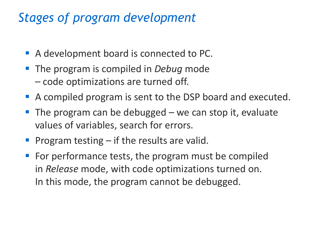# *Stages of program development*

- A development board is connected to PC.
- The program is compiled in *Debug* mode – code optimizations are turned off.
- A compiled program is sent to the DSP board and executed.
- **The program can be debugged we can stop it, evaluate** values of variables, search for errors.
- Program testing  $-$  if the results are valid.
- For performance tests, the program must be compiled in *Release* mode, with code optimizations turned on. In this mode, the program cannot be debugged.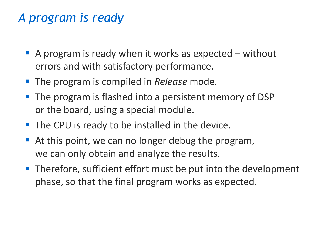# *A program is ready*

- $\blacksquare$  A program is ready when it works as expected without errors and with satisfactory performance.
- The program is compiled in *Release* mode.
- The program is flashed into a persistent memory of DSP or the board, using a special module.
- The CPU is ready to be installed in the device.
- At this point, we can no longer debug the program, we can only obtain and analyze the results.
- Therefore, sufficient effort must be put into the development phase, so that the final program works as expected.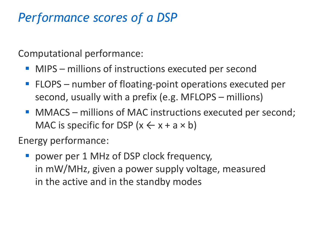# *Performance scores of a DSP*

Computational performance:

- MIPS millions of instructions executed per second
- FLOPS number of floating-point operations executed per second, usually with a prefix (e.g. MFLOPS – millions)
- MMACS millions of MAC instructions executed per second; MAC is specific for DSP  $(x \leftarrow x + a \times b)$

Energy performance:

■ power per 1 MHz of DSP clock frequency, in mW/MHz, given a power supply voltage, measured in the active and in the standby modes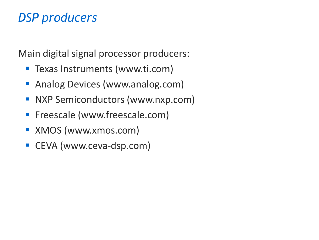# *DSP producers*

Main digital signal processor producers:

- Texas Instruments (www.ti.com)
- Analog Devices (www.analog.com)
- **E** NXP Semiconductors (www.nxp.com)
- **Filter Freescale (www.freescale.com)**
- XMOS (www.xmos.com)
- CEVA (www.ceva-dsp.com)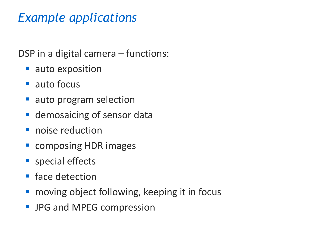# *Example applications*

DSP in a digital camera – functions:

- auto exposition
- auto focus
- auto program selection
- **E** demosaicing of sensor data
- **·** noise reduction
- composing HDR images
- special effects
- face detection
- moving object following, keeping it in focus
- JPG and MPEG compression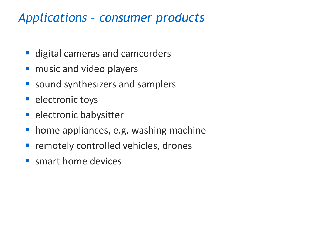## *Applications – consumer products*

- digital cameras and camcorders
- music and video players
- sound synthesizers and samplers
- **E** electronic toys
- **E** electronic babysitter
- home appliances, e.g. washing machine
- **E** remotely controlled vehicles, drones
- **E** smart home devices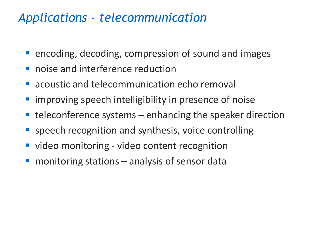# *Applications - telecommunication*

- encoding, decoding, compression of sound and images
- noise and interference reduction
- acoustic and telecommunication echo removal
- **E** improving speech intelligibility in presence of noise
- $teleconference$  systems  $-$  enhancing the speaker direction
- speech recognition and synthesis, voice controlling
- video monitoring video content recognition
- monitoring stations analysis of sensor data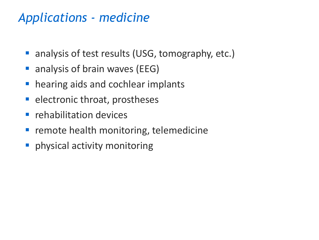# *Applications - medicine*

- analysis of test results (USG, tomography, etc.)
- analysis of brain waves (EEG)
- hearing aids and cochlear implants
- **E** electronic throat, prostheses
- rehabilitation devices
- **EXT** remote health monitoring, telemedicine
- **•** physical activity monitoring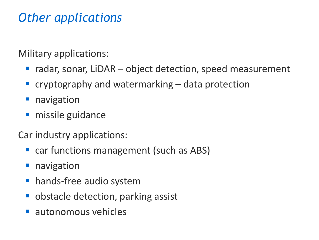# *Other applications*

Military applications:

- radar, sonar, LiDAR object detection, speed measurement
- $\blacksquare$  cryptography and watermarking  $\blacksquare$  data protection
- **navigation**
- missile guidance

Car industry applications:

- car functions management (such as ABS)
- navigation
- hands-free audio system
- obstacle detection, parking assist
- autonomous vehicles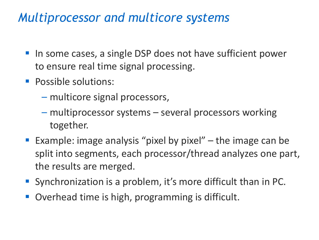## *Multiprocessor and multicore systems*

- In some cases, a single DSP does not have sufficient power to ensure real time signal processing.
- Possible solutions:
	- multicore signal processors,
	- multiprocessor systems several processors working together.
- **Example: image analysis "pixel by pixel"** the image can be split into segments, each processor/thread analyzes one part, the results are merged.
- Synchronization is a problem, it's more difficult than in PC.
- Overhead time is high, programming is difficult.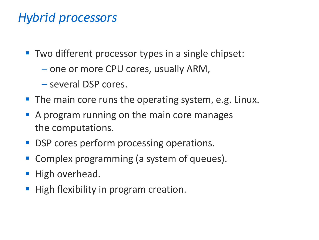# *Hybrid processors*

- Two different processor types in a single chipset:
	- one or more CPU cores, usually ARM,
	- several DSP cores.
- The main core runs the operating system, e.g. Linux.
- A program running on the main core manages the computations.
- DSP cores perform processing operations.
- Complex programming (a system of queues).
- High overhead.
- High flexibility in program creation.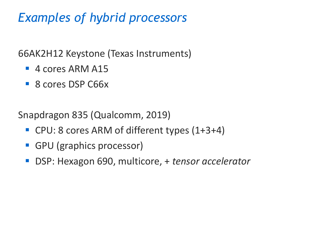# *Examples of hybrid processors*

66AK2H12 Keystone (Texas Instruments)

- $\blacksquare$  4 cores ARM A15
- 8 cores DSP C66x

Snapdragon 835 (Qualcomm, 2019)

- CPU: 8 cores ARM of different types (1+3+4)
- GPU (graphics processor)
- DSP: Hexagon 690, multicore, + *tensor accelerator*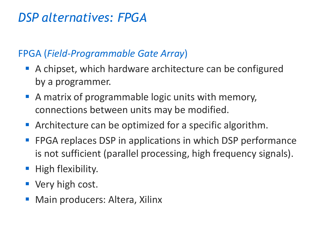## *DSP alternatives: FPGA*

#### FPGA (*Field-Programmable Gate Array*)

- A chipset, which hardware architecture can be configured by a programmer.
- A matrix of programmable logic units with memory, connections between units may be modified.
- **EXP** Architecture can be optimized for a specific algorithm.
- FPGA replaces DSP in applications in which DSP performance is not sufficient (parallel processing, high frequency signals).
- **E** High flexibility.
- Very high cost.
- Main producers: Altera, Xilinx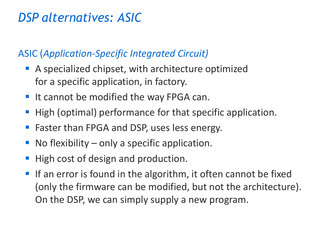# *DSP alternatives: ASIC*

#### ASIC (*Application-Specific Integrated Circuit)*

- A specialized chipset, with architecture optimized for a specific application, in factory.
- It cannot be modified the way FPGA can.
- High (optimal) performance for that specific application.
- Faster than FPGA and DSP, uses less energy.
- No flexibility  $-$  only a specific application.
- High cost of design and production.
- If an error is found in the algorithm, it often cannot be fixed (only the firmware can be modified, but not the architecture). On the DSP, we can simply supply a new program.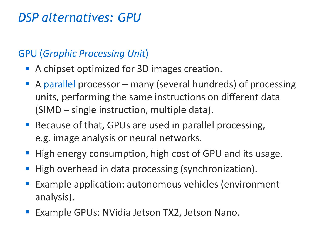## *DSP alternatives: GPU*

#### GPU (*Graphic Processing Unit*)

- A chipset optimized for 3D images creation.
- A parallel processor many (several hundreds) of processing units, performing the same instructions on different data (SIMD – single instruction, multiple data).
- Because of that, GPUs are used in parallel processing, e.g. image analysis or neural networks.
- High energy consumption, high cost of GPU and its usage.
- High overhead in data processing (synchronization).
- Example application: autonomous vehicles (environment analysis).
- Example GPUs: NVidia Jetson TX2, Jetson Nano.